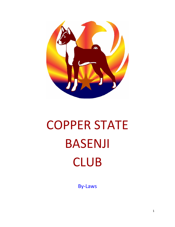

# COPPER STATE BASENJI CLUB

By-Laws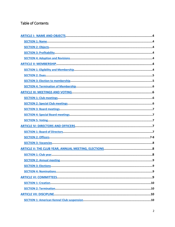# **Table of Contents**

<span id="page-1-1"></span><span id="page-1-0"></span>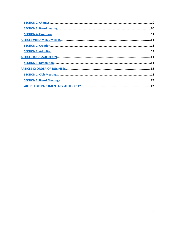<span id="page-2-2"></span><span id="page-2-1"></span><span id="page-2-0"></span>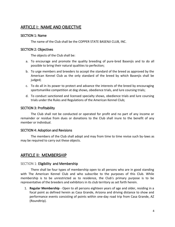# <span id="page-3-6"></span>ARTICLE I: NAME AND OBJECTIVE

#### <span id="page-3-5"></span>SECTION 1: Name

The name of the Club shall be the COPPER STATE BASENJI CLUB, INC.

#### <span id="page-3-4"></span>SECTION 2: Objectives

The objects of the Club shall be:

- a. To encourage and promote the quality breeding of pure-bred Basenjis and to do all possible to bring their natural qualities to perfection;
- b. To urge members and breeders to accept the standard of the breed as approved by the American Kennel Club as the only standard of the breed by which Basenjis shall be judged;
- c. To do all in its power to protect and advance the interests of the breed by encouraging sportsmanlike competition at dog shows, obedience trials, and lure coursing trials;
- d. To conduct sanctioned and licensed specialty shows, obedience trials and lure coursing trials under the Rules and Regulations of the American Kennel Club;

#### <span id="page-3-3"></span>SECTION 3: Profitability

The Club shall not be conducted or operated for profit and no part of any income or remainder or residue from dues or donations to the Club shall inure to the benefit of any member or individual.

#### <span id="page-3-2"></span>SECTION 4: Adoption and Revisions

The members of the Club shall adopt and may from time to time revise such by-laws as may be required to carry out these objects.

## <span id="page-3-1"></span>ARTICLE II: MEMBERSHIP

#### <span id="page-3-0"></span>SECTION 1: Eligibility and Membership

There shall be four types of membership open to all persons who are in good standing with The American Kennel Club and who subscribe to the purposes of this Club. While membership is to be unrestricted as to residence, the Club's primary purpose is to be representative of the breeders and exhibitors in its club territory as set forth herein.

1. **Regular Membership** - Open to all persons eighteen years of age and older, residing in a focal point as defined herein as Casa Grande, Arizona and driving distance to show and performance events consisting of points within one-day road trip from Casa Grande, AZ (Roundtrip).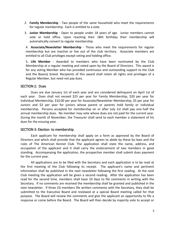- 2. **Family Membership** Two people of the same household who meet the requirements for regular membership. Each is entitled to a vote.
- 3. **Junior Membership** Open to people under 18 years of age. Junior members cannot vote or hold office. Upon reaching their 18th birthday their membership will automatically convert to regular membership.

4. **Associate/Newsletter Membership** - Those who meet the requirements for regular membership but are inactive or live out of the club territory. Associate members are entitled to all Club privileges except voting and holding office.

5**. Life Member** - Awarded to members who have been nominated by the Club Membership at a regular meeting and voted upon by the Board of Directors. This award is for any voting Member who has provided continuous and outstanding support to the Club and the Basenji breed. Recipients of this award shall retain all rights and privileges of a Regular Member, but need not pay dues.

#### <span id="page-4-1"></span>SECTION 2: Dues

Dues are due January 1st of each year and are considered delinquent on April 1st of each year. Dues shall not exceed \$25 per year for Family Membership, \$20 per year for Individual Membership, \$10.00 per year for Associate/Newsletter Membership, \$5 per year for Juniors and \$3 per year for juniors whose parent or parents hold family or individual membership. Persons accepted for membership on or after July 1st shall pay one-half the annual membership dues. No member may vote whose dues are not paid for the current year. During the month of November, the Treasurer shall send to each member a statement of his dues for the ensuing year.

#### <span id="page-4-0"></span>SECTION 3: Election to membership

Each applicant for membership shall apply on a form as approved by the Board of Directors and which shall provide that the applicant agrees to abide by these by-laws and the rules of The American Kennel Club. The application shall state the name, address, and occupation of the applicant and it shall carry the endorsement of two members in good standing. Accompanying the application, the prospective member shall submit dues payment for the current year.

All applications are to be filed with the Secretary and each application is to be read at the first meeting of the Club following its receipt. The applicant's name and pertinent information shall be published in the next newsletter following the first reading. At the next Club meeting the application will be given a second reading. After the application has been read for the second time, members shall have 10 days to file comments in writing with the Secretary. If no comments are received the membership shall be granted and published in the next newsletter. If three (3) members file written comments with the Secretary, they shall be submitted to the Executive Board and reviewed at a special Board meeting called for that purpose. The Board will review the comments and give the applicant an opportunity to file a response or come before the Board. The Board will then decide by majority vote to accept or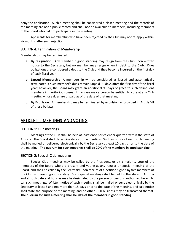deny the application. Such a meeting shall be considered a closed meeting and the records of the meeting are not a public record and shall not be available to members, including members of the Board who did not participate in the meeting.

Applicants for membership who have been rejected by the Club may not re-apply within six months after such rejection.

#### <span id="page-5-3"></span>SECTION 4: Termination of Membership

Memberships may be terminated:

- a. **By resignation**. Any member in good standing may resign from the Club upon written notice to the Secretary; but no member may resign when in debt to the Club. Dues obligations are considered a debt to the Club and they become incurred on the first day of each fiscal year.
- b. **Lapsed Membership**. A membership will be considered as lapsed and automatically terminated if such member's dues remain unpaid 90 days after the first day of the fiscal year; however, the Board may grant an additional 90 days of grace to such delinquent members in meritorious cases. In no case may a person be entitled to vote at any Club meeting whose dues are unpaid as of the date of that meeting.
- c. **By Expulsion**. A membership may be terminated by expulsion as provided in Article VII of these by-laws.

# <span id="page-5-2"></span>ARTICLE III: MEETINGS AND VOTING

#### <span id="page-5-1"></span>SECTION 1: Club meetings

Meetings of the Club shall be held at least once per calendar quarter, within the state of Arizona. The Board shall determine dates of the meetings. Written notice of each such meeting shall be mailed or delivered electronically by the Secretary at least 10 days prior to the date of the meeting. **The quorum for such meetings shall be 20% of the members in good standing.**

#### <span id="page-5-0"></span>SECTION 2: Special Club meetings

Special Club meetings may be called by the President, or by a majority vote of the members of the Board who are present and voting at any regular or special meeting of the Board, and shall be called by the Secretary upon receipt of a petition signed by five members of the Club who are in good standing. Such special meetings shall be held in the state of Arizona and at such date and hour as may be designated by the person or persons authorized herein to call such meetings. Written notice of such meeting shall be mailed or sent electronically by the Secretary at least 5 and not more than 15 days prior to the date of the meeting, and said notice shall state the purpose of the meeting, and no other Club business may be transacted thereat. **The quorum for such a meeting shall be 20% of the members in good standing.**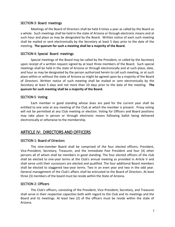#### <span id="page-6-5"></span>SECTION 3: Board meetings

Meetings of the Board of Directors shall be held 4 times a year as called by the Board as a whole. Such meetings shall be held in the state of Arizona or through electronic means and at such hour and place as may be designated by the Board. Written notice of each such meeting shall be mailed or sent electronically by the Secretary at least 5 days prior to the date of the meeting. **The quorum for such a meeting shall be a majority of the Board.**

#### <span id="page-6-4"></span>SECTION 4: Special Board meetings

Special meetings of the Board may be called by the President, or called by the Secretary upon receipt of a written request signed by at least three members of the Board. Such special meetings shall be held in the state of Arizona or through electronically and at such place, date, and hour as may be designated by the person authorized herein to call such meeting, or at such place within or without the state of Arizona as might be agreed upon by a majority of the Board of Directors. Written notice of such meeting shall be mailed or sent electronically by the Secretary at least 5 days and not more than 10 days prior to the date of the meeting. **The quorum for such meeting shall be a majority of the Board.**

#### <span id="page-6-3"></span>SECTION 5: Voting

Each member in good standing whose dues are paid for the current year shall be entitled to one vote at any meeting of the Club at which the member is present. Proxy voting will not be permitted at any Club meeting or election. Voting for Officers and Board positions may take place in person or through electronic means following ballot being delivered electronically or otherwise to the membership.

## <span id="page-6-2"></span>ARTICLE IV: DIRECTORS AND OFFICERS

#### <span id="page-6-1"></span>SECTION 1: Board of Directors

The nine-member Board shall be comprised of the four elected officers; President, Vice-President, Secretary, Treasurer, and the immediate Past President and four (4) other persons all of whom shall be members in good standing. The four elected officers of the club shall be elected to one-year terms at the Club's annual meeting as provided in Article V and shall serve until their successors are elected and qualified. The four additional Board members shall be elected to staggered two-year terms. Two in an even year and two in the odd year. General management of the Club's affairs shall be entrusted to the Board of Directors. At least three (3) members of the board must be reside within the State of Arizona.

#### <span id="page-6-0"></span>SECTION 2: Officers

The Club's officers, consisting of the President, Vice-President, Secretary, and Treasurer shall serve in their respective capacities both with regard to the Club and its meetings and the Board and its meetings. At least two (2) of the officers must be reside within the state of Arizona.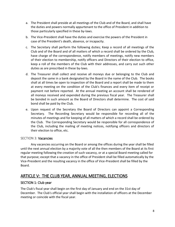- a. The President shall preside at all meetings of the Club and of the Board, and shall have the duties and powers normally appurtenant to the office of President in addition to those particularly specified in these by-laws.
- b. The Vice-President shall have the duties and exercise the powers of the President in case of the President's death, absence, or incapacity.
- c. The Secretary shall perform the following duties; Keep a record of all meetings of the Club and of the Board and of all matters of which a record shall be ordered by the Club, have charge of the correspondence, notify members of meetings, notify new members of their election to membership, notify officers and Directors of their election to office, keep a roll of the members of the Club with their addresses, and carry out such other duties as are prescribed in these by-laws.
- d. The Treasurer shall collect and receive all moneys due or belonging to the Club and deposit the same in a bank designated by the Board in the name of the Club. The books shall at all times be open to inspection of the Board and a report shall be made to them at every meeting on the condition of the Club's finances and every item of receipt or payment not before reported. At the annual meeting an account shall be rendered of all moneys received and expended during the previous fiscal year. The Treasurer shall be bonded in such amount as the Board of Directors shall determine. The cost of said bond shall be paid by the Club.
- e. Upon request of the Secretary the Board of Directors can appoint a Corresponding Secretary. The Recording Secretary would be responsible for recording all of the minutes of meetings and for keeping of all matters of which a record shall be ordered by the Club. The Corresponding Secretary would be responsible for all correspondence of the Club, including the mailing of meeting notices, notifying officers and directors of their election to office, etc.

#### <span id="page-7-0"></span>SECTION 3: Vacancies

Any vacancies occurring on the Board or among the offices during the year shall be filled until the next annual election by a majority vote of all the then members of the Board at its first regular meeting following the creation of such vacancy, or at a special Board meeting called for that purpose; except that a vacancy in the office of President shall be filled automatically by the Vice-President and the resulting vacancy in the office of Vice-President shall be filled by the Board.

# ARTICLE V: THE CLUB YEAR, ANNUAL MEETING, ELECTIONS

#### SECTION 1: Club year

The Club's fiscal year shall begin on the first day of January and end on the 31st day of December. The Club's official year shall begin with the installation of officers at the December meeting or coincide with the fiscal year.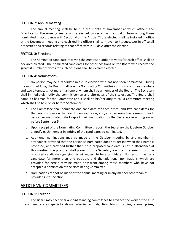#### <span id="page-8-4"></span>SECTION 2: Annual meeting

The annual meeting shall be held in the month of November at which officers and Directors for the ensuing year shall be elected by secret, written ballot from among those nominated in accordance with Section 4 of this Article. Those elected shall be installed in office at the December meeting and each retiring officer shall turn over to his successor in office all properties and records relating to that office within 30 days after the election.

#### <span id="page-8-3"></span>SECTION 3: Elections

The nominated candidate receiving the greatest number of votes for each office shall be declared elected. The nominated candidates for other positions on the Board who receive the greatest number of votes for such positions shall be declared elected.

#### <span id="page-8-2"></span>SECTION 4: Nominations

No person may be a candidate in a club election who has not been nominated. During the month of June, the Board shall select a Nominating Committee consisting of three members and two alternates, not more than one of whom shall be a member of the Board. The Secretary shall immediately notify the committeemen and alternates of their selection. The Board shall name a Chairman for the Committee and it shall be his/her duty to call a Committee meeting which shall be held on or before September 1.

- a. The Committee shall nominate one candidate for each office, and two candidates for the two positions on the Board open each year, and, after securing the consent of each person so nominated, shall report their nomination to the Secretary in writing on or before September 5.
- b. Upon receipt of the Nominating Committee's report, the Secretary shall, before October 1, notify each member in writing of the candidates so nominated.
- c. Additional nominations may be made at the October meeting by any member in attendance provided that the person so nominated does not decline when their name is proposed, and provided further that if the proposed candidate is not in attendance at this meeting, the proposer shall present to the Secretary a written statement from the proposed candidate signifying his willingness to be a candidate. No person may be a candidate for more than one position, and the additional nominations which are provided for herein may be made only from among those members who have not accepted a nomination of the Nominating Committee.
- d. Nominations cannot be made at the annual meeting or in any manner other than as provided in this Section.

# <span id="page-8-1"></span>ARTICLE VI: COMMITTEES

#### <span id="page-8-0"></span>SECTION 1: Creation

The Board may each year appoint standing committees to advance the work of the Club in such matters as specialty shows, obedience trials, field trials, trophies, annual prizes,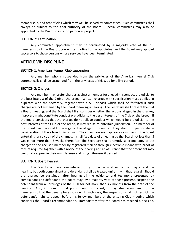membership, and other fields which may well be served by committees. Such committees shall always be subject to the final authority of the Board. Special committees may also be appointed by the Board to aid it on particular projects.

#### <span id="page-9-2"></span>SECTION 2: Termination

Any committee appointment may be terminated by a majority vote of the full membership of the Board upon written notice to the appointee; and the Board may appoint successors to those persons whose services have been terminated.

### <span id="page-9-1"></span>ARTICLE VII: DISCIPLINE

#### <span id="page-9-0"></span>SECTION 1: American Kennel Club suspension

Any member who is suspended from the privileges of the American Kennel Club automatically shall be suspended from the privileges of this Club for a like period.

#### <span id="page-9-4"></span>SECTION 2: Charges

Any member may prefer charges against a member for alleged misconduct prejudicial to the best interest of the Club or the breed. Written charges with specification must be filed in duplicate with the Secretary, together with a \$10 deposit which shall be forfeited if such charges are not sustained by the Board following a hearing. The Secretary shall present them at a Board meeting, and the Board shall first consider whether the actions alleged in the charges, if proven, might constitute conduct prejudicial to the best interests of the Club or the breed. If the Board considers that the charges do not allege conduct which would be prejudicial to the best interests of the Club or the breed, it may refuse to entertain jurisdiction. If a member of the Board has personal knowledge of the alleged misconduct, they shall not participate in consideration of the alleged misconduct. They may, however, appear as a witness. If the Board entertains jurisdiction of the charges, it shall fix a date of a hearing by the Board not less than 3 weeks nor more than 6 weeks thereafter. The Secretary shall promptly send one copy of the charges to the accused member by registered mail or through electronic means with proof of receipt required together with a notice of the hearing and an assurance that the defendant may personally appear in their own defense and bring witnesses if desired.

#### <span id="page-9-3"></span>SECTION 3: Board hearing

The Board shall have complete authority to decide whether counsel may attend the hearing, but both complainant and defendant shall be treated uniformly in that regard. Should the charges be sustained, after hearing all the evidence and testimony presented by complainant and defendant, the Board may, by a majority vote of those present, suspend the defendant from all privileges of the Club for not more than six months from the date of the hearing. And, if it deems that punishment insufficient, it may also recommend to the membership that the penalty be expulsion. In such case, the suspension shall not restrict the defendant's right to appear before his fellow members at the ensuing Club meeting which considers the Board's recommendation. Immediately after the Board has reached a decision,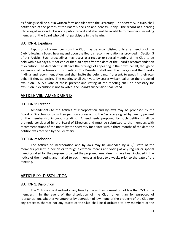its findings shall be put in written form and filed with the Secretary. The Secretary, in turn, shall notify each of the parties of the Board's decision and penalty, if any. The record of a hearing into alleged misconduct is not a public record and shall not be available to members, including members of the Board who did not participate in the hearing.

#### <span id="page-10-3"></span>SECTION 4: Expulsion

Expulsion of a member from the Club may be accomplished only at a meeting of the Club following a Board hearing and upon the Board's recommendation as provided in Section 3 of this Article. Such proceedings may occur at a regular or special meeting of the Club to be held within 60 days but not earlier than 30 days after the date of the Board's recommendation of expulsion. The defendant shall have the privilege of appearing in their own behalf, though no evidence shall be taken at this meeting. The President shall read the charges and the Board's findings and recommendation, and shall invite the defendant, if present, to speak in their own behalf if they so desire. The meeting shall then vote by secret written ballot on the proposed expulsion. A 2/3 vote of those present and voting at the meeting shall be necessary for expulsion. If expulsion is not so voted, the Board's suspension shall stand.

## ARTICLE VIII: AMENDMENTS

#### SECTION 1: Creation

Amendments to the Articles of Incorporation and by-laws may be proposed by the Board of Directors or by written petition addressed to the Secretary signed by twenty percent of the membership in good standing. Amendments proposed by such petition shall be promptly considered by the Board of Directors and must be submitted to the members with recommendations of the Board by the Secretary for a vote within three months of the date the petition was received by the Secretary.

#### <span id="page-10-2"></span>SECTION 2: Adoption

The Articles of Incorporation and by-laws may be amended by a 2/3 vote of the members present in person or through electronic means and voting at any regular or special meeting called for the purpose, provided the proposed amendments have been included in the notice of the meeting and mailed to each member at least two weeks prior to the date of the meeting.

## <span id="page-10-1"></span>ARTICLE IX: DISSOLUTION

#### <span id="page-10-0"></span>SECTION 1: Dissolution

The Club may be dissolved at any time by the written consent of not less than 2/3 of the members. In the event of the dissolution of the Club, other than for purposes of reorganization, whether voluntary or by operation of law, none of the property of the Club nor any proceeds thereof nor any assets of the Club shall be distributed to any members of the